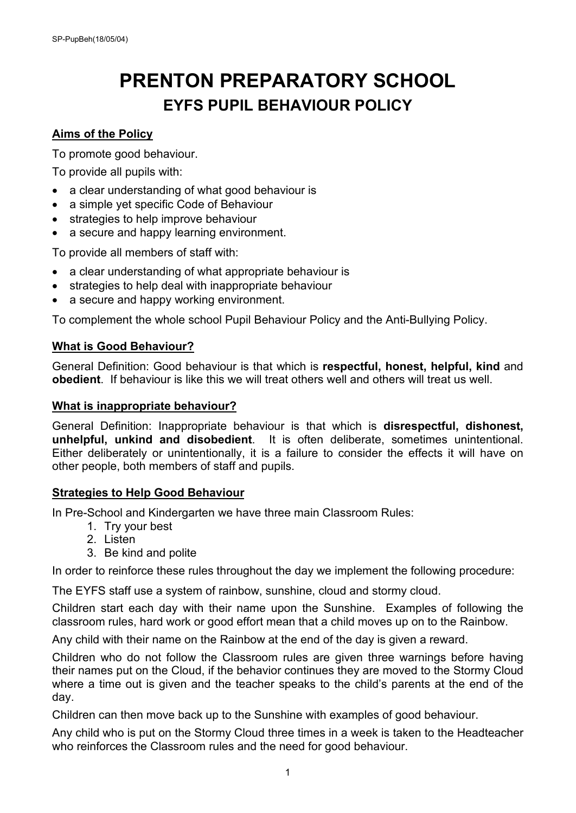# **PRENTON PREPARATORY SCHOOL EYFS PUPIL BEHAVIOUR POLICY**

## **Aims of the Policy**

To promote good behaviour.

To provide all pupils with:

- a clear understanding of what good behaviour is
- a simple yet specific Code of Behaviour
- strategies to help improve behaviour
- a secure and happy learning environment.

To provide all members of staff with:

- a clear understanding of what appropriate behaviour is
- strategies to help deal with inappropriate behaviour
- a secure and happy working environment.

To complement the whole school Pupil Behaviour Policy and the Anti-Bullying Policy.

## **What is Good Behaviour?**

General Definition: Good behaviour is that which is **respectful, honest, helpful, kind** and **obedient**. If behaviour is like this we will treat others well and others will treat us well.

## **What is inappropriate behaviour?**

General Definition: Inappropriate behaviour is that which is **disrespectful, dishonest, unhelpful, unkind and disobedient**. It is often deliberate, sometimes unintentional. Either deliberately or unintentionally, it is a failure to consider the effects it will have on other people, both members of staff and pupils.

## **Strategies to Help Good Behaviour**

In Pre-School and Kindergarten we have three main Classroom Rules:

- 1. Try your best
- 2. Listen
- 3. Be kind and polite

In order to reinforce these rules throughout the day we implement the following procedure:

The EYFS staff use a system of rainbow, sunshine, cloud and stormy cloud.

Children start each day with their name upon the Sunshine. Examples of following the classroom rules, hard work or good effort mean that a child moves up on to the Rainbow.

Any child with their name on the Rainbow at the end of the day is given a reward.

Children who do not follow the Classroom rules are given three warnings before having their names put on the Cloud, if the behavior continues they are moved to the Stormy Cloud where a time out is given and the teacher speaks to the child's parents at the end of the day.

Children can then move back up to the Sunshine with examples of good behaviour.

Any child who is put on the Stormy Cloud three times in a week is taken to the Headteacher who reinforces the Classroom rules and the need for good behaviour.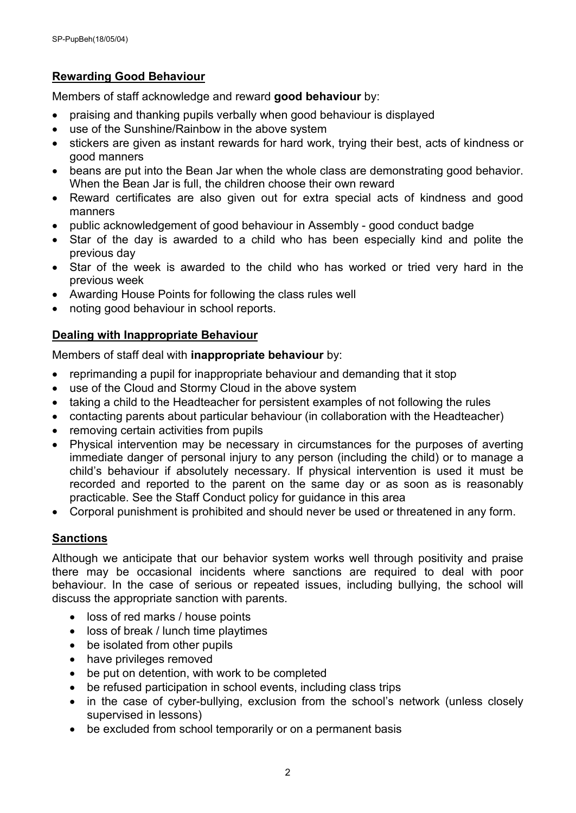## **Rewarding Good Behaviour**

Members of staff acknowledge and reward **good behaviour** by:

- praising and thanking pupils verbally when good behaviour is displayed
- use of the Sunshine/Rainbow in the above system
- stickers are given as instant rewards for hard work, trying their best, acts of kindness or good manners
- beans are put into the Bean Jar when the whole class are demonstrating good behavior. When the Bean Jar is full, the children choose their own reward
- Reward certificates are also given out for extra special acts of kindness and good manners
- public acknowledgement of good behaviour in Assembly good conduct badge
- Star of the day is awarded to a child who has been especially kind and polite the previous day
- Star of the week is awarded to the child who has worked or tried very hard in the previous week
- Awarding House Points for following the class rules well
- noting good behaviour in school reports.

## **Dealing with Inappropriate Behaviour**

Members of staff deal with **inappropriate behaviour** by:

- reprimanding a pupil for inappropriate behaviour and demanding that it stop
- use of the Cloud and Stormy Cloud in the above system
- taking a child to the Headteacher for persistent examples of not following the rules
- contacting parents about particular behaviour (in collaboration with the Headteacher)
- removing certain activities from pupils
- Physical intervention may be necessary in circumstances for the purposes of averting immediate danger of personal injury to any person (including the child) or to manage a child's behaviour if absolutely necessary. If physical intervention is used it must be recorded and reported to the parent on the same day or as soon as is reasonably practicable. See the Staff Conduct policy for guidance in this area
- Corporal punishment is prohibited and should never be used or threatened in any form.

## **Sanctions**

Although we anticipate that our behavior system works well through positivity and praise there may be occasional incidents where sanctions are required to deal with poor behaviour. In the case of serious or repeated issues, including bullying, the school will discuss the appropriate sanction with parents.

- loss of red marks / house points
- loss of break / lunch time playtimes
- be isolated from other pupils
- have privileges removed
- be put on detention, with work to be completed
- be refused participation in school events, including class trips
- in the case of cyber-bullying, exclusion from the school's network (unless closely supervised in lessons)
- be excluded from school temporarily or on a permanent basis